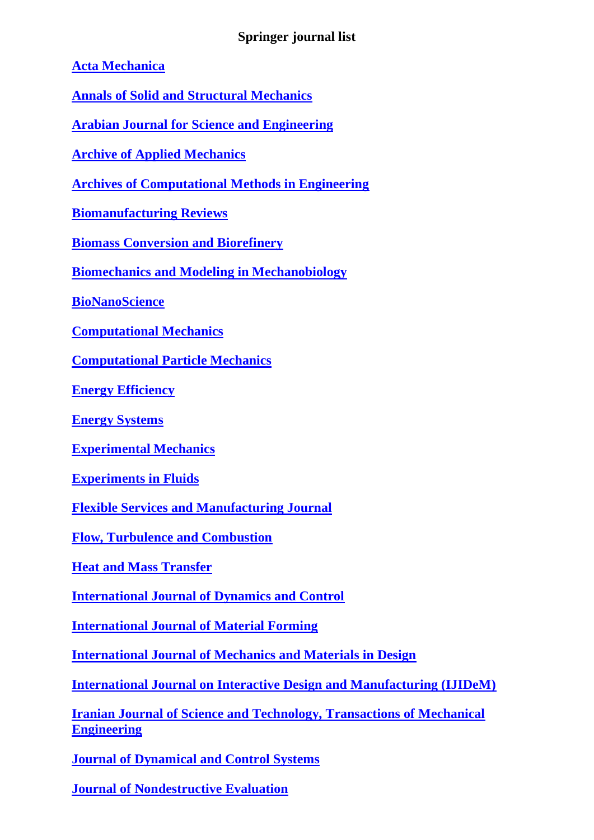## **Springer journal list**

**[Acta Mechanica](http://www.springer.com/707)**

**[Annals of Solid and Structural Mechanics](http://www.springer.com/12356)**

**[Arabian Journal for Science and Engineering](http://www.springer.com/13369)**

**[Archive of Applied Mechanics](http://www.springer.com/419)**

**[Archives of Computational Methods in Engineering](http://www.springer.com/11831)**

**[Biomanufacturing Reviews](http://www.springer.com/40898)**

**[Biomass Conversion and Biorefinery](http://www.springer.com/13399)**

**[Biomechanics and Modeling in Mechanobiology](http://www.springer.com/10237)**

**[BioNanoScience](http://www.springer.com/12668)**

**[Computational Mechanics](http://www.springer.com/466)**

**[Computational Particle Mechanics](http://www.springer.com/40571)**

**[Energy Efficiency](http://www.springer.com/12053)**

**[Energy Systems](http://www.springer.com/12667)**

**[Experimental Mechanics](http://www.springer.com/11340)**

**[Experiments in Fluids](http://www.springer.com/348)**

**[Flexible Services and Manufacturing Journal](http://www.springer.com/10696)**

**[Flow, Turbulence and Combustion](http://www.springer.com/10494)**

**[Heat and Mass Transfer](http://www.springer.com/231)**

**[International Journal of Dynamics and Control](http://www.springer.com/40435)**

**[International Journal of Material Forming](http://www.springer.com/12289)**

**[International Journal of Mechanics and Materials in Design](http://www.springer.com/10999)**

**[International Journal on Interactive Design and Manufacturing \(IJIDeM\)](http://www.springer.com/12008)**

**[Iranian Journal of Science and Technology, Transactions of Mechanical](http://www.springer.com/40997)  [Engineering](http://www.springer.com/40997)**

**[Journal of Dynamical and Control Systems](http://www.springer.com/10883)**

**[Journal of Nondestructive Evaluation](http://www.springer.com/10921)**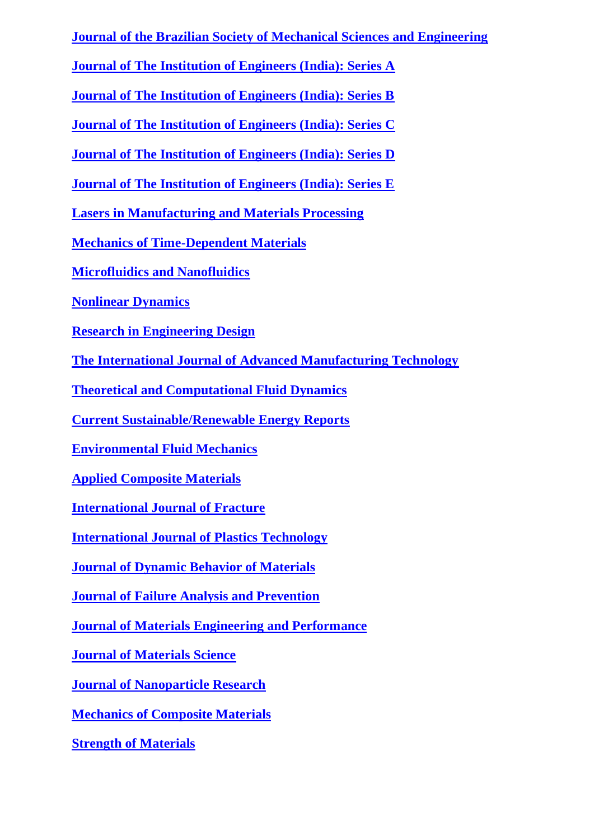**[Journal of the Brazilian Society of Mechanical Sciences and Engineering](http://www.springer.com/40430)**

**[Journal of The Institution of Engineers \(India\): Series A](http://www.springer.com/40030)**

**[Journal of The Institution of Engineers \(India\): Series B](http://www.springer.com/40031)**

**[Journal of The Institution of Engineers \(India\): Series C](http://www.springer.com/40032)**

**[Journal of The Institution of Engineers \(India\): Series D](http://www.springer.com/40033)**

**[Journal of The Institution of Engineers \(India\): Series E](http://www.springer.com/40034)**

**[Lasers in Manufacturing and Materials Processing](http://www.springer.com/40516)**

**[Mechanics of Time-Dependent Materials](http://www.springer.com/11043)**

**[Microfluidics and Nanofluidics](http://www.springer.com/10404)**

**[Nonlinear Dynamics](http://www.springer.com/11071)**

**[Research in Engineering Design](http://www.springer.com/163)**

**[The International Journal of Advanced Manufacturing Technology](http://www.springer.com/170)**

**[Theoretical and Computational Fluid Dynamics](http://www.springer.com/162)**

**[Current Sustainable/Renewable Energy Reports](http://www.springer.com/40518)**

**[Environmental Fluid Mechanics](http://www.springer.com/10652)**

**[Applied Composite Materials](http://www.springer.com/10443)**

**[International Journal of Fracture](http://www.springer.com/10704)**

**[International Journal of Plastics Technology](http://www.springer.com/12588)**

**[Journal of Dynamic Behavior of Materials](http://www.springer.com/40870)**

**[Journal of Failure Analysis and Prevention](http://www.springer.com/11668)**

**[Journal of Materials Engineering](http://www.springer.com/11665) and Performance**

**[Journal of Materials Science](http://www.springer.com/10853)**

**[Journal of Nanoparticle Research](http://www.springer.com/11051)**

**[Mechanics of Composite Materials](http://www.springer.com/11029)**

**[Strength of Materials](http://www.springer.com/11223)**